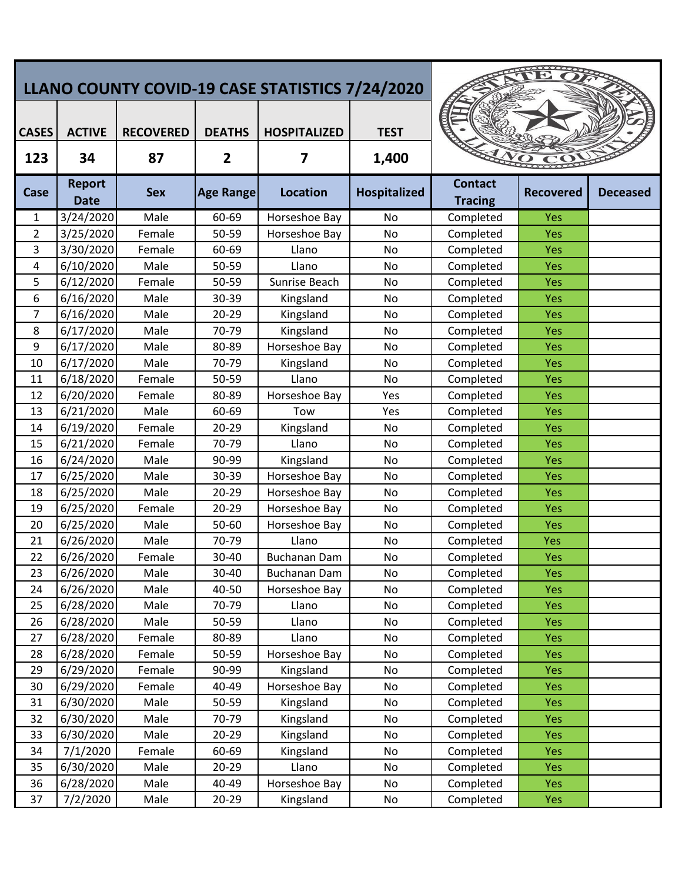| LLANO COUNTY COVID-19 CASE STATISTICS 7/24/2020 |                              |                  |                  |                     |                     |                                  |                  |                 |
|-------------------------------------------------|------------------------------|------------------|------------------|---------------------|---------------------|----------------------------------|------------------|-----------------|
| <b>CASES</b>                                    | <b>ACTIVE</b>                | <b>RECOVERED</b> | <b>DEATHS</b>    | <b>HOSPITALIZED</b> | <b>TEST</b>         |                                  |                  |                 |
| 123                                             | 34                           | 87               | $\overline{2}$   | 7                   | 1,400               |                                  |                  |                 |
| Case                                            | <b>Report</b><br><b>Date</b> | <b>Sex</b>       | <b>Age Range</b> | <b>Location</b>     | <b>Hospitalized</b> | <b>Contact</b><br><b>Tracing</b> | <b>Recovered</b> | <b>Deceased</b> |
| 1                                               | 3/24/2020                    | Male             | 60-69            | Horseshoe Bay       | No                  | Completed                        | Yes              |                 |
| $\overline{2}$                                  | 3/25/2020                    | Female           | 50-59            | Horseshoe Bay       | No                  | Completed                        | Yes              |                 |
| 3                                               | 3/30/2020                    | Female           | 60-69            | Llano               | No                  | Completed                        | Yes              |                 |
| 4                                               | 6/10/2020                    | Male             | 50-59            | Llano               | <b>No</b>           | Completed                        | Yes              |                 |
| 5                                               | 6/12/2020                    | Female           | 50-59            | Sunrise Beach       | No                  | Completed                        | Yes              |                 |
| 6                                               | 6/16/2020                    | Male             | 30-39            | Kingsland           | No                  | Completed                        | Yes              |                 |
| 7                                               | 6/16/2020                    | Male             | 20-29            | Kingsland           | No                  | Completed                        | Yes              |                 |
| 8                                               | 6/17/2020                    | Male             | 70-79            | Kingsland           | No                  | Completed                        | Yes              |                 |
| 9                                               | 6/17/2020                    | Male             | 80-89            | Horseshoe Bay       | No                  | Completed                        | Yes              |                 |
| 10                                              | 6/17/2020                    | Male             | 70-79            | Kingsland           | No                  | Completed                        | Yes              |                 |
| 11                                              | 6/18/2020                    | Female           | 50-59            | Llano               | <b>No</b>           | Completed                        | Yes              |                 |
| 12                                              | 6/20/2020                    | Female           | 80-89            | Horseshoe Bay       | Yes                 | Completed                        | Yes              |                 |
| 13                                              | 6/21/2020                    | Male             | 60-69            | Tow                 | Yes                 | Completed                        | Yes              |                 |
| 14                                              | 6/19/2020                    | Female           | 20-29            | Kingsland           | No                  | Completed                        | Yes              |                 |
| 15                                              | 6/21/2020                    | Female           | 70-79            | Llano               | No                  | Completed                        | Yes              |                 |
| 16                                              | 6/24/2020                    | Male             | 90-99            | Kingsland           | No                  | Completed                        | Yes              |                 |
| 17                                              | 6/25/2020                    | Male             | 30-39            | Horseshoe Bay       | No                  | Completed                        | Yes              |                 |
| 18                                              | 6/25/2020                    | Male             | 20-29            | Horseshoe Bay       | No                  | Completed                        | Yes              |                 |
| 19                                              | 6/25/2020                    | Female           | 20-29            | Horseshoe Bay       | No                  | Completed                        | Yes              |                 |
| 20                                              | 6/25/2020                    | Male             | 50-60            | Horseshoe Bay       | No                  | Completed                        | Yes              |                 |
| 21                                              | 6/26/2020                    | Male             | 70-79            | Llano               | No                  | Completed                        | Yes              |                 |
| 22                                              | 6/26/2020                    | Female           | 30-40            | Buchanan Dam        | No                  | Completed                        | Yes              |                 |
| 23                                              | 6/26/2020                    | Male             | 30-40            | Buchanan Dam        | No                  | Completed                        | Yes              |                 |
| 24                                              | 6/26/2020                    | Male             | 40-50            | Horseshoe Bay       | No                  | Completed                        | Yes              |                 |
| 25                                              | 6/28/2020                    | Male             | 70-79            | Llano               | No                  | Completed                        | Yes              |                 |
| 26                                              | 6/28/2020                    | Male             | 50-59            | Llano               | No                  | Completed                        | <b>Yes</b>       |                 |
| 27                                              | 6/28/2020                    | Female           | 80-89            | Llano               | No                  | Completed                        | <b>Yes</b>       |                 |
| 28                                              | 6/28/2020                    | Female           | 50-59            | Horseshoe Bay       | No                  | Completed                        | Yes              |                 |
| 29                                              | 6/29/2020                    | Female           | 90-99            | Kingsland           | No                  | Completed                        | <b>Yes</b>       |                 |
| 30                                              | 6/29/2020                    | Female           | 40-49            | Horseshoe Bay       | No                  | Completed                        | Yes              |                 |
| 31                                              | 6/30/2020                    | Male             | 50-59            | Kingsland           | No                  | Completed                        | Yes              |                 |
| 32                                              | 6/30/2020                    | Male             | 70-79            | Kingsland           | No                  | Completed                        | Yes              |                 |
| 33                                              | 6/30/2020                    | Male             | 20-29            | Kingsland           | $\mathsf{No}$       | Completed                        | <b>Yes</b>       |                 |
| 34                                              | 7/1/2020                     | Female           | 60-69            | Kingsland           | No                  | Completed                        | Yes              |                 |
| 35                                              | 6/30/2020                    | Male             | 20-29            | Llano               | No                  | Completed                        | Yes              |                 |
| 36                                              | 6/28/2020                    | Male             | 40-49            | Horseshoe Bay       | No                  | Completed                        | Yes              |                 |
| 37                                              | 7/2/2020                     | Male             | 20-29            | Kingsland           | No                  | Completed                        | Yes              |                 |
|                                                 |                              |                  |                  |                     |                     |                                  |                  |                 |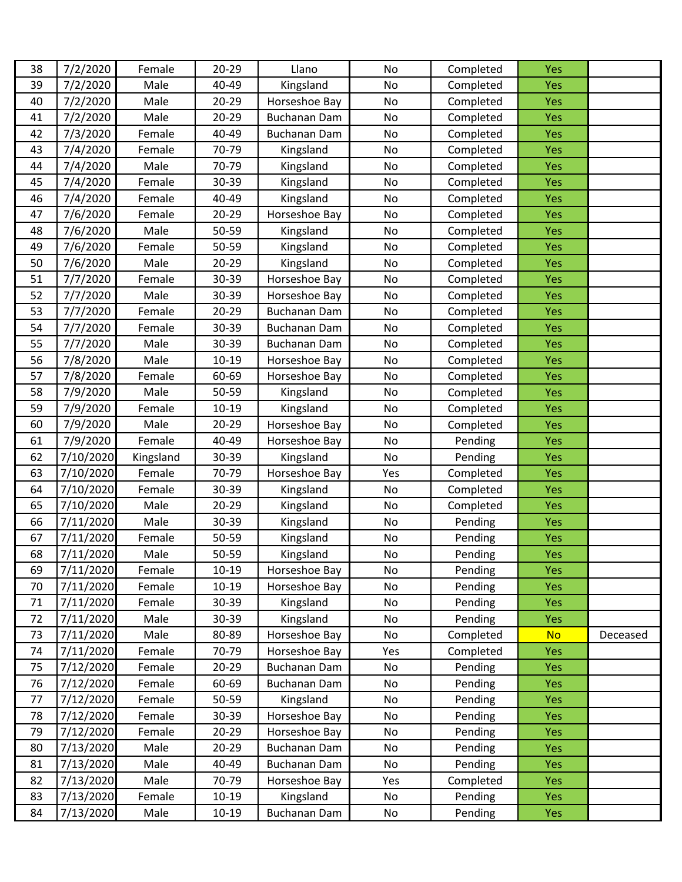| 38 | 7/2/2020  | Female    | $20 - 29$ | Llano               | No  | Completed | Yes        |          |
|----|-----------|-----------|-----------|---------------------|-----|-----------|------------|----------|
| 39 | 7/2/2020  | Male      | 40-49     | Kingsland           | No  | Completed | Yes        |          |
| 40 | 7/2/2020  | Male      | 20-29     | Horseshoe Bay       | No  | Completed | Yes        |          |
| 41 | 7/2/2020  | Male      | 20-29     | <b>Buchanan Dam</b> | No  | Completed | Yes        |          |
| 42 | 7/3/2020  | Female    | 40-49     | <b>Buchanan Dam</b> | No  | Completed | Yes        |          |
| 43 | 7/4/2020  | Female    | 70-79     | Kingsland           | No  | Completed | Yes        |          |
| 44 | 7/4/2020  | Male      | 70-79     | Kingsland           | No  | Completed | Yes        |          |
| 45 | 7/4/2020  | Female    | 30-39     | Kingsland           | No  | Completed | Yes        |          |
| 46 | 7/4/2020  | Female    | 40-49     | Kingsland           | No  | Completed | Yes        |          |
| 47 | 7/6/2020  | Female    | 20-29     | Horseshoe Bay       | No  | Completed | Yes        |          |
| 48 | 7/6/2020  | Male      | 50-59     | Kingsland           | No  | Completed | Yes        |          |
| 49 | 7/6/2020  | Female    | 50-59     | Kingsland           | No  | Completed | Yes        |          |
| 50 | 7/6/2020  | Male      | 20-29     | Kingsland           | No  | Completed | Yes        |          |
| 51 | 7/7/2020  | Female    | 30-39     | Horseshoe Bay       | No  | Completed | Yes        |          |
| 52 | 7/7/2020  | Male      | 30-39     | Horseshoe Bay       | No  | Completed | Yes        |          |
| 53 | 7/7/2020  | Female    | $20 - 29$ | <b>Buchanan Dam</b> | No  | Completed | Yes        |          |
| 54 | 7/7/2020  | Female    | 30-39     | <b>Buchanan Dam</b> | No  | Completed | Yes        |          |
| 55 | 7/7/2020  | Male      | 30-39     | Buchanan Dam        | No  | Completed | Yes        |          |
| 56 | 7/8/2020  | Male      | $10-19$   | Horseshoe Bay       | No  | Completed | Yes        |          |
| 57 | 7/8/2020  | Female    | 60-69     | Horseshoe Bay       | No  | Completed | Yes        |          |
| 58 | 7/9/2020  | Male      | 50-59     | Kingsland           | No  | Completed | Yes        |          |
| 59 | 7/9/2020  | Female    | $10-19$   | Kingsland           | No  | Completed | Yes        |          |
| 60 | 7/9/2020  | Male      | $20 - 29$ | Horseshoe Bay       | No  | Completed | Yes        |          |
| 61 | 7/9/2020  | Female    | 40-49     | Horseshoe Bay       | No  | Pending   | Yes        |          |
| 62 | 7/10/2020 | Kingsland | 30-39     | Kingsland           | No  | Pending   | Yes        |          |
| 63 | 7/10/2020 | Female    | 70-79     | Horseshoe Bay       | Yes | Completed | Yes        |          |
| 64 | 7/10/2020 | Female    | 30-39     | Kingsland           | No  | Completed | Yes        |          |
| 65 | 7/10/2020 | Male      | $20 - 29$ | Kingsland           | No  | Completed | Yes        |          |
| 66 | 7/11/2020 | Male      | 30-39     | Kingsland           | No  | Pending   | Yes        |          |
| 67 | 7/11/2020 | Female    | 50-59     | Kingsland           | No  | Pending   | Yes        |          |
| 68 | 7/11/2020 | Male      | 50-59     | Kingsland           | No  | Pending   | Yes        |          |
| 69 | 7/11/2020 | Female    | $10 - 19$ | Horseshoe Bay       | No  | Pending   | Yes        |          |
| 70 | 7/11/2020 | Female    | $10-19$   | Horseshoe Bay       | No  | Pending   | Yes        |          |
| 71 | 7/11/2020 | Female    | 30-39     | Kingsland           | No  | Pending   | Yes        |          |
| 72 | 7/11/2020 | Male      | 30-39     | Kingsland           | No  | Pending   | Yes        |          |
| 73 | 7/11/2020 | Male      | 80-89     | Horseshoe Bay       | No  | Completed | <b>No</b>  | Deceased |
| 74 | 7/11/2020 | Female    | 70-79     | Horseshoe Bay       | Yes | Completed | Yes        |          |
| 75 | 7/12/2020 | Female    | 20-29     | <b>Buchanan Dam</b> | No  | Pending   | Yes        |          |
| 76 | 7/12/2020 | Female    | 60-69     | <b>Buchanan Dam</b> | No  | Pending   | Yes        |          |
| 77 | 7/12/2020 | Female    | 50-59     | Kingsland           | No  | Pending   | Yes        |          |
| 78 | 7/12/2020 | Female    | 30-39     | Horseshoe Bay       | No  | Pending   | Yes        |          |
| 79 | 7/12/2020 | Female    | 20-29     | Horseshoe Bay       | No  | Pending   | Yes        |          |
| 80 | 7/13/2020 | Male      | $20 - 29$ | Buchanan Dam        | No  | Pending   | Yes        |          |
| 81 | 7/13/2020 | Male      | 40-49     | Buchanan Dam        | No  | Pending   | <b>Yes</b> |          |
| 82 | 7/13/2020 | Male      | 70-79     | Horseshoe Bay       | Yes | Completed | Yes        |          |
| 83 | 7/13/2020 | Female    | $10-19$   | Kingsland           | No  | Pending   | Yes        |          |
| 84 | 7/13/2020 | Male      | $10 - 19$ | Buchanan Dam        | No  | Pending   | Yes        |          |
|    |           |           |           |                     |     |           |            |          |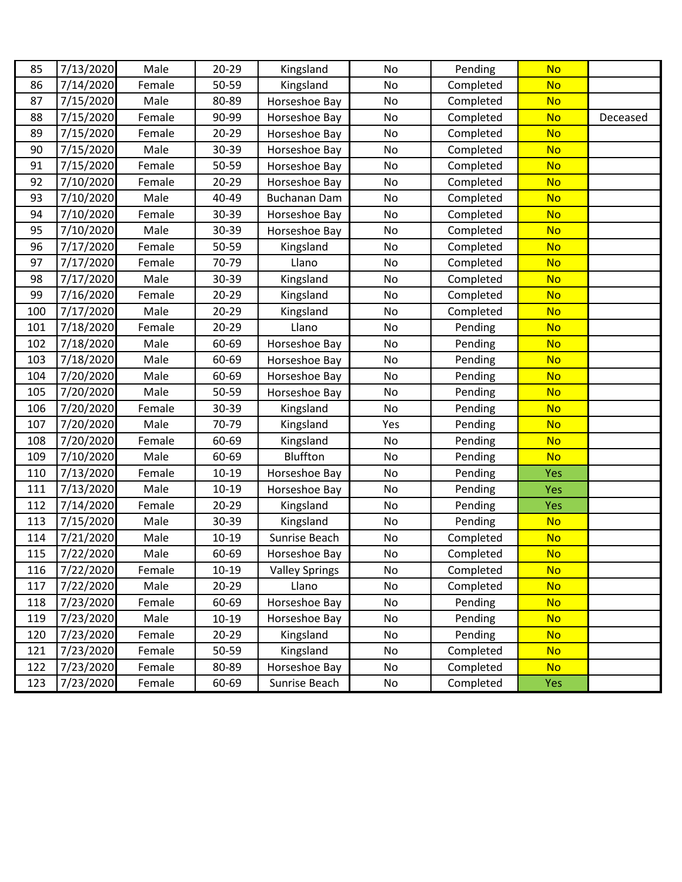| 85  | 7/13/2020 | Male   | $20 - 29$ | Kingsland             | No            | Pending   | <b>No</b>  |          |
|-----|-----------|--------|-----------|-----------------------|---------------|-----------|------------|----------|
| 86  | 7/14/2020 | Female | 50-59     | Kingsland             | No            | Completed | <b>No</b>  |          |
| 87  | 7/15/2020 | Male   | 80-89     | Horseshoe Bay         | No            | Completed | <b>No</b>  |          |
| 88  | 7/15/2020 | Female | 90-99     | Horseshoe Bay         | No            | Completed | <b>No</b>  | Deceased |
| 89  | 7/15/2020 | Female | $20 - 29$ | Horseshoe Bay         | No            | Completed | <b>No</b>  |          |
| 90  | 7/15/2020 | Male   | 30-39     | Horseshoe Bay         | No            | Completed | <b>No</b>  |          |
| 91  | 7/15/2020 | Female | 50-59     | Horseshoe Bay         | No            | Completed | <b>No</b>  |          |
| 92  | 7/10/2020 | Female | 20-29     | Horseshoe Bay         | No            | Completed | <b>No</b>  |          |
| 93  | 7/10/2020 | Male   | 40-49     | <b>Buchanan Dam</b>   | No            | Completed | <b>No</b>  |          |
| 94  | 7/10/2020 | Female | 30-39     | Horseshoe Bay         | No            | Completed | <b>No</b>  |          |
| 95  | 7/10/2020 | Male   | 30-39     | Horseshoe Bay         | No            | Completed | <b>No</b>  |          |
| 96  | 7/17/2020 | Female | 50-59     | Kingsland             | No            | Completed | <b>No</b>  |          |
| 97  | 7/17/2020 | Female | 70-79     | Llano                 | No            | Completed | <b>No</b>  |          |
| 98  | 7/17/2020 | Male   | 30-39     | Kingsland             | No            | Completed | <b>No</b>  |          |
| 99  | 7/16/2020 | Female | $20 - 29$ | Kingsland             | No            | Completed | <b>No</b>  |          |
| 100 | 7/17/2020 | Male   | 20-29     | Kingsland             | No            | Completed | <b>No</b>  |          |
| 101 | 7/18/2020 | Female | 20-29     | Llano                 | No            | Pending   | <b>No</b>  |          |
| 102 | 7/18/2020 | Male   | 60-69     | Horseshoe Bay         | No            | Pending   | <b>No</b>  |          |
| 103 | 7/18/2020 | Male   | 60-69     | Horseshoe Bay         | No            | Pending   | <b>No</b>  |          |
| 104 | 7/20/2020 | Male   | 60-69     | Horseshoe Bay         | No            | Pending   | <b>No</b>  |          |
| 105 | 7/20/2020 | Male   | 50-59     | Horseshoe Bay         | No            | Pending   | <b>No</b>  |          |
| 106 | 7/20/2020 | Female | 30-39     | Kingsland             | No            | Pending   | <b>No</b>  |          |
| 107 | 7/20/2020 | Male   | 70-79     | Kingsland             | Yes           | Pending   | <b>No</b>  |          |
| 108 | 7/20/2020 | Female | 60-69     | Kingsland             | No            | Pending   | <b>No</b>  |          |
| 109 | 7/10/2020 | Male   | 60-69     | Bluffton              | No            | Pending   | <b>No</b>  |          |
| 110 | 7/13/2020 | Female | $10-19$   | Horseshoe Bay         | No            | Pending   | Yes        |          |
| 111 | 7/13/2020 | Male   | $10 - 19$ | Horseshoe Bay         | No            | Pending   | Yes        |          |
| 112 | 7/14/2020 | Female | $20 - 29$ | Kingsland             | No            | Pending   | Yes        |          |
| 113 | 7/15/2020 | Male   | 30-39     | Kingsland             | No            | Pending   | <b>No</b>  |          |
| 114 | 7/21/2020 | Male   | $10 - 19$ | Sunrise Beach         | No            | Completed | <b>No</b>  |          |
| 115 | 7/22/2020 | Male   | 60-69     | Horseshoe Bay         | No            | Completed | <b>No</b>  |          |
| 116 | 7/22/2020 | Female | $10 - 19$ | <b>Valley Springs</b> | No            | Completed | <b>No</b>  |          |
| 117 | 7/22/2020 | Male   | 20-29     | Llano                 | $\mathsf{No}$ | Completed | <b>No</b>  |          |
| 118 | 7/23/2020 | Female | 60-69     | Horseshoe Bay         | No            | Pending   | <b>No</b>  |          |
| 119 | 7/23/2020 | Male   | $10 - 19$ | Horseshoe Bay         | No            | Pending   | <b>No</b>  |          |
| 120 | 7/23/2020 | Female | 20-29     | Kingsland             | No            | Pending   | <b>No</b>  |          |
| 121 | 7/23/2020 | Female | 50-59     | Kingsland             | No            | Completed | <b>No</b>  |          |
| 122 | 7/23/2020 | Female | 80-89     | Horseshoe Bay         | No            | Completed | <b>No</b>  |          |
| 123 | 7/23/2020 | Female | 60-69     | Sunrise Beach         | No            | Completed | <b>Yes</b> |          |